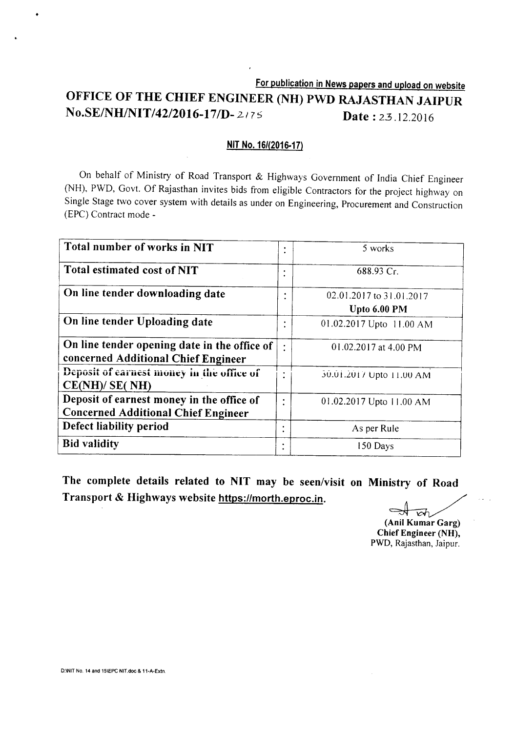**For publication in News papers and upload on website OFFICE OF THE CHIEF ENGINEER (NH) PWD RAJASTHAN JAIPUR** *No.SE/NHINIT/42/2016-171D-2I7S* **Date:** 2.3.12.2016

#### **NIT No.** *16/(2016-17)*

On behalf of Ministry of Road Transport & Highways Government of India Chief Engineer (NH), PWD, Govt. Of Rajasthan invites bids from eligible Contractors for the project highway on Single Stage two cover system with details as under on Engineering, Procurement and Construction (EPC) Contract mode -

| Total number of works in NIT                                                            | ٠         | 5 works                                  |
|-----------------------------------------------------------------------------------------|-----------|------------------------------------------|
| <b>Total estimated cost of NIT</b>                                                      |           | 688.93 Cr.                               |
| On line tender downloading date                                                         |           | 02.01.2017 to 31.01.2017<br>Upto 6.00 PM |
| On line tender Uploading date                                                           |           | 01.02.2017 Upto 11.00 AM                 |
| On line tender opening date in the office of<br>concerned Additional Chief Engineer     | $\bullet$ | 01.02.2017 at 4.00 PM                    |
| Deposit of earnest money in the office of<br>CE(NH)/SE(NH)                              |           | 30.01.2017 Upto 11.00 AM                 |
| Deposit of earnest money in the office of<br><b>Concerned Additional Chief Engineer</b> | ٠         | 01.02.2017 Upto 11.00 AM                 |
| Defect liability period                                                                 |           | As per Rule                              |
| <b>Bid validity</b>                                                                     | ٠         | 150 Days                                 |

**The complete details related to NIT may be seen/visit on Ministry of Road Transport & Highways website https:llmorth.eproc.in.**

邧 ~

**(Ani! Kumar** Garg) **Chief Engineer** (NH), PWD, Rajasthan, Jaipur.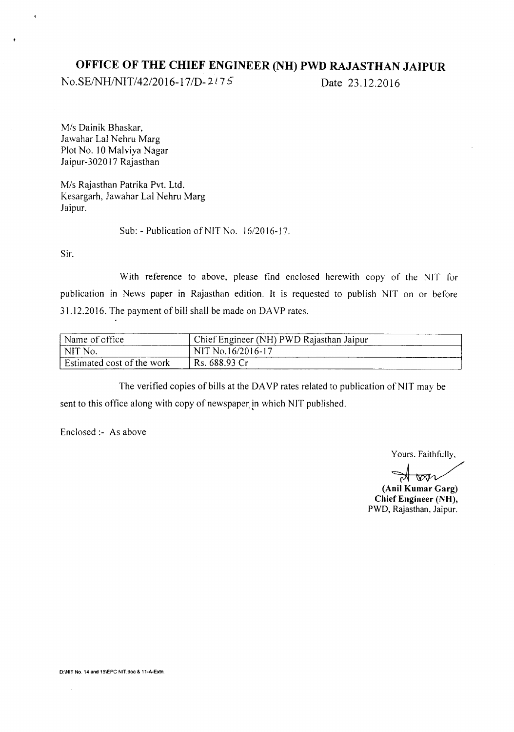# **OFFICE OF THE CHIEF ENGINEER (NH) PWD RAJASTHAN JAIPUR**

No.SE/NH/NIT/42/2016-17/D-2175 Date 23.12.2016

*Mis* Dainik Bhaskar, lawahar Lal Nehru Marg Plot No. 10 Malviya Nagar laipur-302017 Rajasthan

*Mis* Rajasthan Patrika Pvt. Ltd. Kesargarh, lawahar Lal Nehru Marg Jaipur.

Sub: - Publication of NIT No. *16/2016-17.*

Sir.

 $\epsilon$ 

With reference to above, please find enclosed herewith copy of the NIT for publication in News paper in Rajasthan edition. It is requested to publish NIT on or before 31.12.2016. The payment of bill shall be made on DA YP rates.

| Name of office             | Chief Engineer (NH) PWD Rajasthan Jaipur |
|----------------------------|------------------------------------------|
| NIT No.                    | NIT No.16/2016-17                        |
| Estimated cost of the work | Rs. 688.93 Cr                            |

The verified copies of bills at the DAYP rates related to publication of NIT may be sent to this office along with copy of newspaper. in which NIT published.

Enclosed:- As above

Yours. Faithfully,

 $\bigtriangledown\!\!m$ 

**(Anil Kumar** Garg) **Chief Engineer** (NH), PWD, Rajasthan, Jaipur.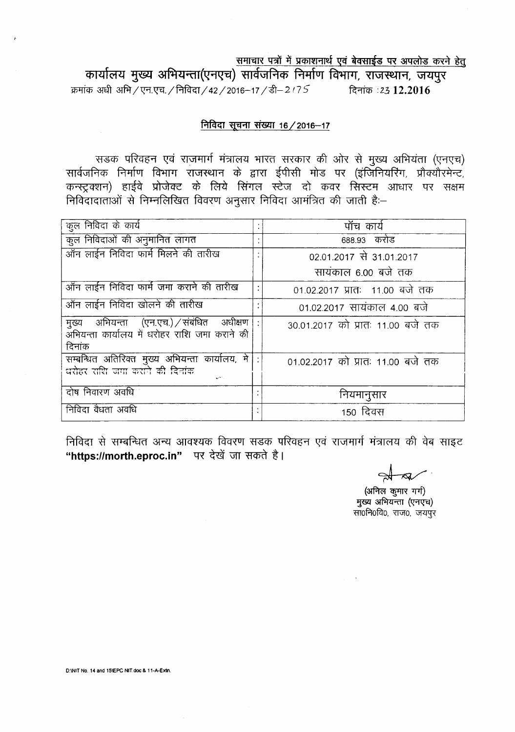समाचार पत्रों में प्रकाशनार्थ एवं बेवसाईड पर अपलोड करने हेतु

कार्यालय मुख्य अभियन्ता(एनएच) सार्वजनिक निर्माण विभाग, राजस्थान, जयपुर <sup>~</sup> <sup>~</sup> 3W1/~.-c;q./f.lfclGT/ 42/2016-17 /~-2 *<sup>17</sup>* 5 ~ **:2312.2016**

## <u>निविदा सूचना संख्या 16 / 2016-17</u>

सडक परिवहन एवं राजमार्ग मंत्रालय भारत सरकार की ओर से मुख्य अभियंता (एनएच) 'सार्वजनिक निर्माण विभाग राजस्थान के द्वारा ईपीसी मोड पर (इंजिनियरिंग, प्रौक्यौरमेन्ट, कन्स्ट्रक्शन) हाईवे प्रोजेक्ट के लिये सिंगल स्टेज दो कवर सिस्टम आधार पर सक्षम <u>निविदादाताओं से निम्नलिखित विवरण अनुसार निविदा आमंत्रित की जाती है</u>:-

| कुल निविदा के कार्य                                                                                       | ۰ | पॉंच कार्य                        |  |  |  |
|-----------------------------------------------------------------------------------------------------------|---|-----------------------------------|--|--|--|
| कुल निविदाओं की अनुमानित लागत                                                                             |   | 688.93 करोड                       |  |  |  |
| <u>.<br/>ऑन लाईन निविदा फार्म मिलने की तारीख</u>                                                          |   | 02.01.2017 से 31.01.2017          |  |  |  |
|                                                                                                           |   | सायंकाल 6.00 बजे तक               |  |  |  |
| ऑन लाईन निविदा फार्म जमा कराने की तारीख                                                                   |   | 01.02.2017 प्रातः 11.00 बजे तक    |  |  |  |
| ऑन लाईन निविदा खोलने की तारीख                                                                             |   | 01.02.2017 सायंकाल 4.00 बजे       |  |  |  |
| मुख्य अभियन्ता (एन.एच.) / संबंधित अधीक्षण<br>्<br>अभियन्ता कार्यालय में धरोहर राशि जमा कराने की<br>दिनांक |   | 30.01.2017 को प्रातः 11.00 बजे तक |  |  |  |
| <br>  सम्बन्धित  अतिरिक्त   मुख्य  अभियन्ता   कार्यालय, में   <br>  धरोहर राशि जगा कराने की दिनांक        |   | 01.02.2017 को प्रातः 11.00 बजे तक |  |  |  |
| दोष निवारण अवधि                                                                                           |   | नियमानुसार                        |  |  |  |
| निविदा वैधता अवधि                                                                                         |   | 150 दिवस                          |  |  |  |

निविदा से सम्बन्धित अन्य आवश्यक विवरण सडक परिवहन एवं राजमार्ग मंत्रालय की वेब साइट "https://morth.eproc.in" पर देखें जा सकते है।

 $\tilde{z}$ 

(अनिल कुमार गर्ग) मुख्य अभियन्ता (एनएच) सा0नि0वि0, राज0, जयपुर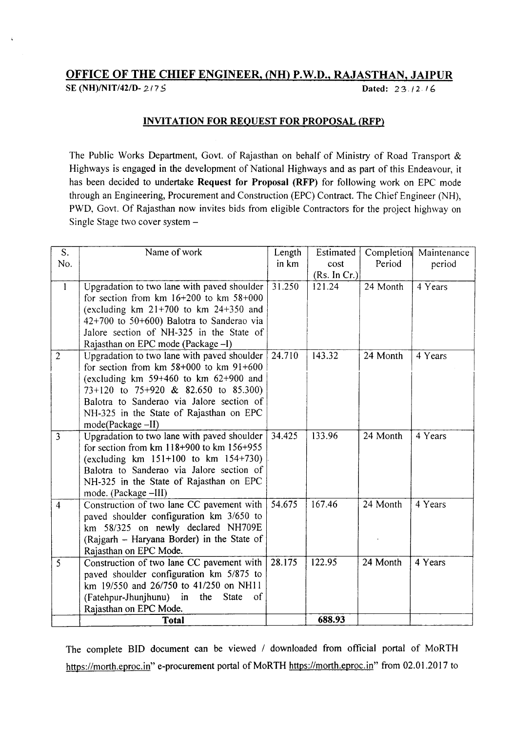# OFFICE OF THE CHIEF ENGINEER, (NH) P.W.D., RAJASTHAN, JAIPUR

SE (NH)/NIT/42/D- 2/75 Dated: 23./2.16

### INVITATION FOR REQUEST FOR PROPOSAL (RFP)

The Public Works Department, Govt. of Rajasthan on behalf of Ministry of Road Transport & Highways is engaged in the development of National Highways and as part of this Endeavour, it has been decided to undertake Request for Proposal (RFP) for following work on EPC mode through an Engineering, Procurement and Construction (EPC) Contract. The Chief Engineer (NH), PWD, Govt. Of Rajasthan now invites bids from eligible Contractors for the project highway on Single Stage two cover system -

| S.             | Name of work                                   | Length | Estimated    | Completion | Maintenance |
|----------------|------------------------------------------------|--------|--------------|------------|-------------|
| No.            |                                                | in km  | cost         | Period     | period      |
|                |                                                |        | (Rs. In Cr.) |            |             |
| $\mathbf{I}$   | Upgradation to two lane with paved shoulder    | 31.250 | 121.24       | 24 Month   | 4 Years     |
|                | for section from $km 16+200$ to $km 58+000$    |        |              |            |             |
|                | (excluding $km$ 21+700 to $km$ 24+350 and      |        |              |            |             |
|                | $42+700$ to $50+600$ ) Balotra to Sanderao via |        |              |            |             |
|                | Jalore section of NH-325 in the State of       |        |              |            |             |
|                | Rajasthan on EPC mode (Package -I)             |        |              |            |             |
| $\overline{2}$ | Upgradation to two lane with paved shoulder    | 24.710 | 143.32       | 24 Month   | 4 Years     |
|                | for section from $km$ 58+000 to $km$ 91+600    |        |              |            |             |
|                | (excluding $km$ 59+460 to $km$ 62+900 and      |        |              |            |             |
|                | 73+120 to 75+920 & 82.650 to 85.300)           |        |              |            |             |
|                | Balotra to Sanderao via Jalore section of      |        |              |            |             |
|                | NH-325 in the State of Rajasthan on EPC        |        |              |            |             |
|                | mode(Package -II)                              |        |              |            |             |
| $\overline{3}$ | Upgradation to two lane with paved shoulder    | 34.425 | 133.96       | 24 Month   | 4 Years     |
|                | for section from $km$ 118+900 to $km$ 156+955  |        |              |            |             |
|                | (excluding $km$ 151+100 to $km$ 154+730)       |        |              |            |             |
|                | Balotra to Sanderao via Jalore section of      |        |              |            |             |
|                | NH-325 in the State of Rajasthan on EPC        |        |              |            |             |
|                | mode. (Package -III)                           |        |              |            |             |
| $\overline{4}$ | Construction of two lane CC pavement with      | 54.675 | 167.46       | 24 Month   | 4 Years     |
|                | paved shoulder configuration km 3/650 to       |        |              |            |             |
|                | km 58/325 on newly declared NH709E             |        |              |            |             |
|                | (Rajgarh – Haryana Border) in the State of     |        |              |            |             |
|                | Rajasthan on EPC Mode.                         |        |              |            |             |
| 5              | Construction of two lane CC pavement with      | 28.175 | 122.95       | 24 Month   | 4 Years     |
|                | paved shoulder configuration km 5/875 to       |        |              |            |             |
|                | km 19/550 and 26/750 to 41/250 on NH11         |        |              |            |             |
|                | (Fatehpur-Jhunjhunu) in the<br>State<br>of     |        |              |            |             |
|                | Rajasthan on EPC Mode.                         |        |              |            |             |
|                | <b>Total</b>                                   |        | 688.93       |            |             |

The complete BID document can be viewed / downloaded from official portal of MoRTH https://morth.eproc.in" e-procurement portal of MoRTH https://morth.eproc.in" from 02.01.2017 to